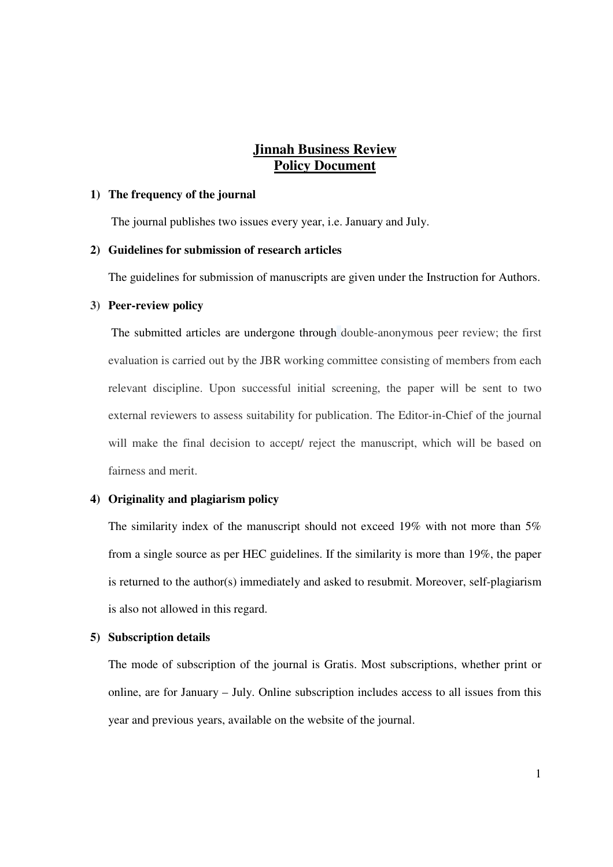# **Jinnah Business Review Policy Document**

#### **1) The frequency of the journal**

The journal publishes two issues every year, i.e. January and July.

#### **2) Guidelines for submission of research articles**

The guidelines for submission of manuscripts are given under the Instruction for Authors.

#### **3) Peer-review policy**

The submitted articles are undergone through double-anonymous peer review; the first evaluation is carried out by the JBR working committee consisting of members from each relevant discipline. Upon successful initial screening, the paper will be sent to two external reviewers to assess suitability for publication. The Editor-in-Chief of the journal will make the final decision to accept/ reject the manuscript, which will be based on fairness and merit.

#### **4) Originality and plagiarism policy**

The similarity index of the manuscript should not exceed 19% with not more than 5% from a single source as per HEC guidelines. If the similarity is more than 19%, the paper is returned to the author(s) immediately and asked to resubmit. Moreover, self-plagiarism is also not allowed in this regard.

## **5) Subscription details**

The mode of subscription of the journal is Gratis. Most subscriptions, whether print or online, are for January – July. Online subscription includes access to all issues from this year and previous years, available on the website of the journal.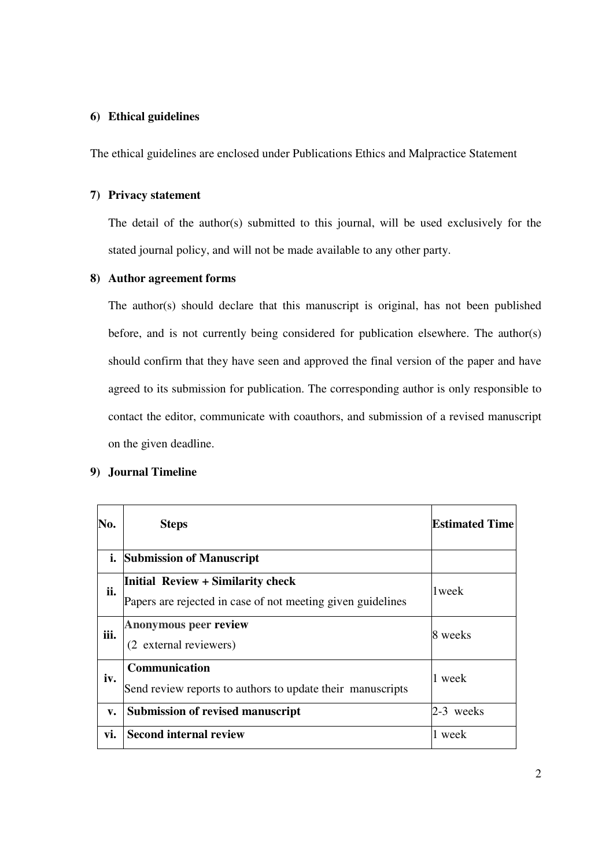# **6) Ethical guidelines**

The ethical guidelines are enclosed under Publications Ethics and Malpractice Statement

# **7) Privacy statement**

The detail of the author(s) submitted to this journal, will be used exclusively for the stated journal policy, and will not be made available to any other party.

# **8) Author agreement forms**

The author(s) should declare that this manuscript is original, has not been published before, and is not currently being considered for publication elsewhere. The author(s) should confirm that they have seen and approved the final version of the paper and have agreed to its submission for publication. The corresponding author is only responsible to contact the editor, communicate with coauthors, and submission of a revised manuscript on the given deadline.

#### **9) Journal Timeline**

| No.           | <b>Steps</b>                                                                                     | <b>Estimated Time</b> |
|---------------|--------------------------------------------------------------------------------------------------|-----------------------|
|               | <i>i.</i> Submission of Manuscript                                                               |                       |
| ii.           | Initial Review + Similarity check<br>Papers are rejected in case of not meeting given guidelines | 1 week                |
| iii.          | <b>Anonymous peer review</b><br>(2 external reviewers)                                           | 8 weeks               |
| iv.           | Communication<br>Send review reports to authors to update their manuscripts                      | 1 week                |
| $V_{\bullet}$ | <b>Submission of revised manuscript</b>                                                          | $2-3$ weeks           |
| vi.           | <b>Second internal review</b>                                                                    | 1 week                |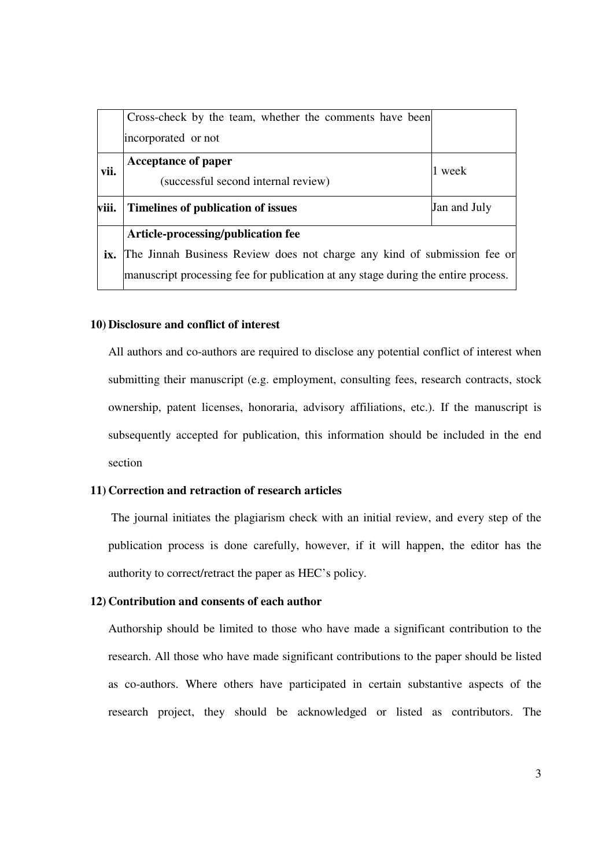|       | Cross-check by the team, whether the comments have been                           |              |  |
|-------|-----------------------------------------------------------------------------------|--------------|--|
|       | incorporated or not                                                               |              |  |
| vii.  | Acceptance of paper<br>(successful second internal review)                        | 1 week       |  |
| viii. | Timelines of publication of issues                                                | Jan and July |  |
|       | Article-processing/publication fee                                                |              |  |
| ix.   | The Jinnah Business Review does not charge any kind of submission fee or          |              |  |
|       | manuscript processing fee for publication at any stage during the entire process. |              |  |

## **10) Disclosure and conflict of interest**

All authors and co-authors are required to disclose any potential conflict of interest when submitting their manuscript (e.g. employment, consulting fees, research contracts, stock ownership, patent licenses, honoraria, advisory affiliations, etc.). If the manuscript is subsequently accepted for publication, this information should be included in the end section

# **11) Correction and retraction of research articles**

 The journal initiates the plagiarism check with an initial review, and every step of the publication process is done carefully, however, if it will happen, the editor has the authority to correct/retract the paper as HEC's policy.

#### **12) Contribution and consents of each author**

Authorship should be limited to those who have made a significant contribution to the research. All those who have made significant contributions to the paper should be listed as co-authors. Where others have participated in certain substantive aspects of the research project, they should be acknowledged or listed as contributors. The